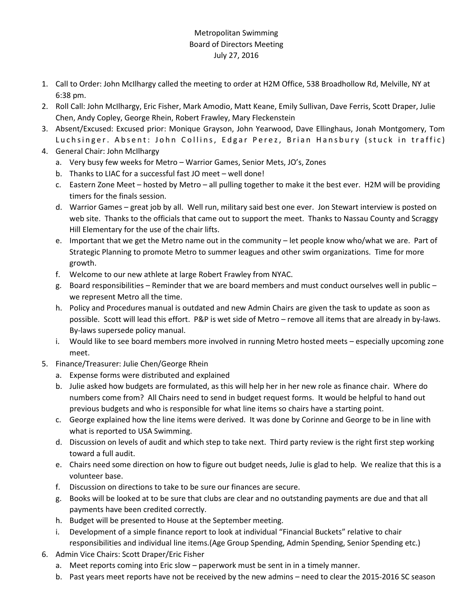## Metropolitan Swimming Board of Directors Meeting July 27, 2016

- 1. Call to Order: John McIlhargy called the meeting to order at H2M Office, 538 Broadhollow Rd, Melville, NY at 6:38 pm.
- 2. Roll Call: John McIlhargy, Eric Fisher, Mark Amodio, Matt Keane, Emily Sullivan, Dave Ferris, Scott Draper, Julie Chen, Andy Copley, George Rhein, Robert Frawley, Mary Fleckenstein
- 3. Absent/Excused: Excused prior: Monique Grayson, John Yearwood, Dave Ellinghaus, Jonah Montgomery, Tom Luchsinger. Absent: John Collins, Edgar Perez, Brian Hansbury (stuck in traffic)
- 4. General Chair: John McIlhargy
	- a. Very busy few weeks for Metro Warrior Games, Senior Mets, JO's, Zones
	- b. Thanks to LIAC for a successful fast JO meet well done!
	- c. Eastern Zone Meet hosted by Metro all pulling together to make it the best ever. H2M will be providing timers for the finals session.
	- d. Warrior Games great job by all. Well run, military said best one ever. Jon Stewart interview is posted on web site. Thanks to the officials that came out to support the meet. Thanks to Nassau County and Scraggy Hill Elementary for the use of the chair lifts.
	- e. Important that we get the Metro name out in the community let people know who/what we are. Part of Strategic Planning to promote Metro to summer leagues and other swim organizations. Time for more growth.
	- f. Welcome to our new athlete at large Robert Frawley from NYAC.
	- g. Board responsibilities Reminder that we are board members and must conduct ourselves well in public we represent Metro all the time.
	- h. Policy and Procedures manual is outdated and new Admin Chairs are given the task to update as soon as possible. Scott will lead this effort. P&P is wet side of Metro – remove all items that are already in by-laws. By-laws supersede policy manual.
	- i. Would like to see board members more involved in running Metro hosted meets especially upcoming zone meet.
- 5. Finance/Treasurer: Julie Chen/George Rhein
	- a. Expense forms were distributed and explained
	- b. Julie asked how budgets are formulated, as this will help her in her new role as finance chair. Where do numbers come from? All Chairs need to send in budget request forms. It would be helpful to hand out previous budgets and who is responsible for what line items so chairs have a starting point.
	- c. George explained how the line items were derived. It was done by Corinne and George to be in line with what is reported to USA Swimming.
	- d. Discussion on levels of audit and which step to take next. Third party review is the right first step working toward a full audit.
	- e. Chairs need some direction on how to figure out budget needs, Julie is glad to help. We realize that this is a volunteer base.
	- f. Discussion on directions to take to be sure our finances are secure.
	- g. Books will be looked at to be sure that clubs are clear and no outstanding payments are due and that all payments have been credited correctly.
	- h. Budget will be presented to House at the September meeting.
	- i. Development of a simple finance report to look at individual "Financial Buckets" relative to chair responsibilities and individual line items.(Age Group Spending, Admin Spending, Senior Spending etc.)
- 6. Admin Vice Chairs: Scott Draper/Eric Fisher
	- a. Meet reports coming into Eric slow paperwork must be sent in in a timely manner.
	- b. Past years meet reports have not be received by the new admins need to clear the 2015-2016 SC season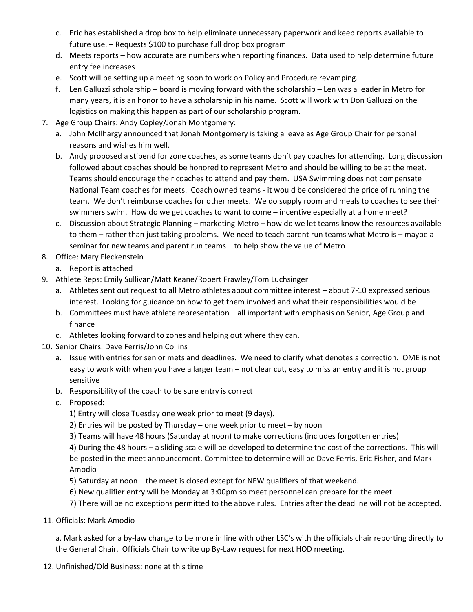- c. Eric has established a drop box to help eliminate unnecessary paperwork and keep reports available to future use. – Requests \$100 to purchase full drop box program
- d. Meets reports how accurate are numbers when reporting finances. Data used to help determine future entry fee increases
- e. Scott will be setting up a meeting soon to work on Policy and Procedure revamping.
- f. Len Galluzzi scholarship board is moving forward with the scholarship Len was a leader in Metro for many years, it is an honor to have a scholarship in his name. Scott will work with Don Galluzzi on the logistics on making this happen as part of our scholarship program.
- 7. Age Group Chairs: Andy Copley/Jonah Montgomery:
	- a. John McIlhargy announced that Jonah Montgomery is taking a leave as Age Group Chair for personal reasons and wishes him well.
	- b. Andy proposed a stipend for zone coaches, as some teams don't pay coaches for attending. Long discussion followed about coaches should be honored to represent Metro and should be willing to be at the meet. Teams should encourage their coaches to attend and pay them. USA Swimming does not compensate National Team coaches for meets. Coach owned teams - it would be considered the price of running the team. We don't reimburse coaches for other meets. We do supply room and meals to coaches to see their swimmers swim. How do we get coaches to want to come – incentive especially at a home meet?
	- c. Discussion about Strategic Planning marketing Metro how do we let teams know the resources available to them – rather than just taking problems. We need to teach parent run teams what Metro is – maybe a seminar for new teams and parent run teams – to help show the value of Metro
- 8. Office: Mary Fleckenstein
	- a. Report is attached
- 9. Athlete Reps: Emily Sullivan/Matt Keane/Robert Frawley/Tom Luchsinger
	- a. Athletes sent out request to all Metro athletes about committee interest about 7-10 expressed serious interest. Looking for guidance on how to get them involved and what their responsibilities would be
	- b. Committees must have athlete representation all important with emphasis on Senior, Age Group and finance
	- c. Athletes looking forward to zones and helping out where they can.
- 10. Senior Chairs: Dave Ferris/John Collins
	- a. Issue with entries for senior mets and deadlines. We need to clarify what denotes a correction. OME is not easy to work with when you have a larger team – not clear cut, easy to miss an entry and it is not group sensitive
	- b. Responsibility of the coach to be sure entry is correct
	- c. Proposed:
		- 1) Entry will close Tuesday one week prior to meet (9 days).
		- 2) Entries will be posted by Thursday one week prior to meet by noon
		- 3) Teams will have 48 hours (Saturday at noon) to make corrections (includes forgotten entries)

4) During the 48 hours – a sliding scale will be developed to determine the cost of the corrections. This will be posted in the meet announcement. Committee to determine will be Dave Ferris, Eric Fisher, and Mark Amodio

- 5) Saturday at noon the meet is closed except for NEW qualifiers of that weekend.
- 6) New qualifier entry will be Monday at 3:00pm so meet personnel can prepare for the meet.
- 7) There will be no exceptions permitted to the above rules. Entries after the deadline will not be accepted.
- 11. Officials: Mark Amodio

a. Mark asked for a by-law change to be more in line with other LSC's with the officials chair reporting directly to the General Chair. Officials Chair to write up By-Law request for next HOD meeting.

12. Unfinished/Old Business: none at this time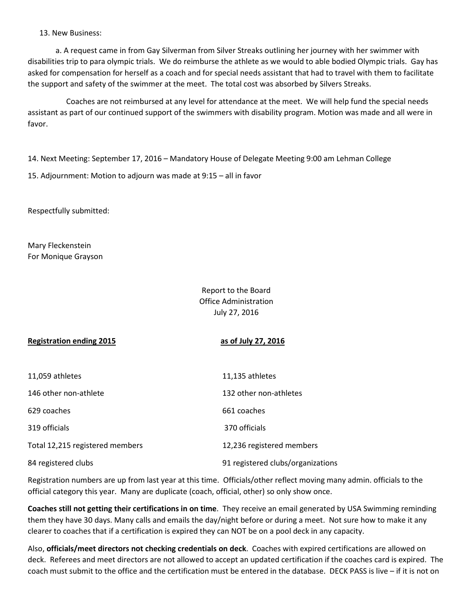13. New Business:

 a. A request came in from Gay Silverman from Silver Streaks outlining her journey with her swimmer with disabilities trip to para olympic trials. We do reimburse the athlete as we would to able bodied Olympic trials. Gay has asked for compensation for herself as a coach and for special needs assistant that had to travel with them to facilitate the support and safety of the swimmer at the meet. The total cost was absorbed by Silvers Streaks.

 Coaches are not reimbursed at any level for attendance at the meet. We will help fund the special needs assistant as part of our continued support of the swimmers with disability program. Motion was made and all were in favor.

14. Next Meeting: September 17, 2016 – Mandatory House of Delegate Meeting 9:00 am Lehman College

15. Adjournment: Motion to adjourn was made at 9:15 – all in favor

Respectfully submitted:

Mary Fleckenstein For Monique Grayson

> Report to the Board Office Administration July 27, 2016

## Registration ending 2015 as of July 27, 2016

| 11,059 athletes                 | 11,135 athletes                   |
|---------------------------------|-----------------------------------|
| 146 other non-athlete           | 132 other non-athletes            |
| 629 coaches                     | 661 coaches                       |
| 319 officials                   | 370 officials                     |
| Total 12,215 registered members | 12,236 registered members         |
| 84 registered clubs             | 91 registered clubs/organizations |

Registration numbers are up from last year at this time. Officials/other reflect moving many admin. officials to the official category this year. Many are duplicate (coach, official, other) so only show once.

Coaches still not getting their certifications in on time. They receive an email generated by USA Swimming reminding them they have 30 days. Many calls and emails the day/night before or during a meet. Not sure how to make it any clearer to coaches that if a certification is expired they can NOT be on a pool deck in any capacity.

Also, officials/meet directors not checking credentials on deck. Coaches with expired certifications are allowed on deck. Referees and meet directors are not allowed to accept an updated certification if the coaches card is expired. The coach must submit to the office and the certification must be entered in the database. DECK PASS is live – if it is not on